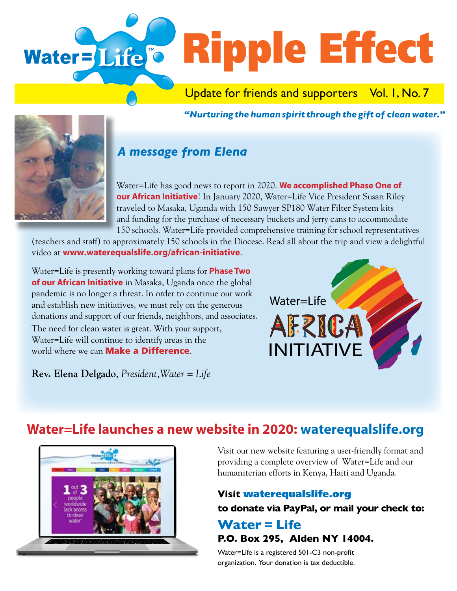

*"Nurturing the human spirit through the gift of clean water."* 



### *A message from Elena*

Water=Life has good news to report in 2020. **We accomplished Phase One of our African Initiative**! In January 2020, Water=Life Vice President Susan Riley traveled to Masaka, Uganda with 150 Sawyer SP180 Water Filter System kits and funding for the purchase of necessary buckets and jerry cans to accommodate 150 schools. Water=Life provided comprehensive training for school representatives

(teachers and staff) to approximately 150 schools in the Diocese. Read all about the trip and view a delightful video at **www.waterequalslife.org/african-initiative**.

Water=Life is presently working toward plans for **Phase Two of our African Initiative** in Masaka, Uganda once the global pandemic is no longer a threat. In order to continue our work and establish new initiatives, we must rely on the generous donations and support of our friends, neighbors, and associates. The need for clean water is great. With your support, Water=Life will continue to identify areas in the world where we can **Make a Difference**.



**Rev. Elena Delgado**, *President,Water = Life*

## **Water=Life launches a new website in 2020: waterequalslife.org**



Visit our new website featuring a user-friendly format and providing a complete overview of Water=Life and our humaniterian efforts in Kenya, Haiti and Uganda.

#### **Visit** waterequalslife.org

**to donate via PayPal, or mail your check to:**

#### **Water = Life P.O. Box 295, Alden NY 14004.**

Water=Life is a registered 501-C3 non-profit organization. Your donation is tax deductible.